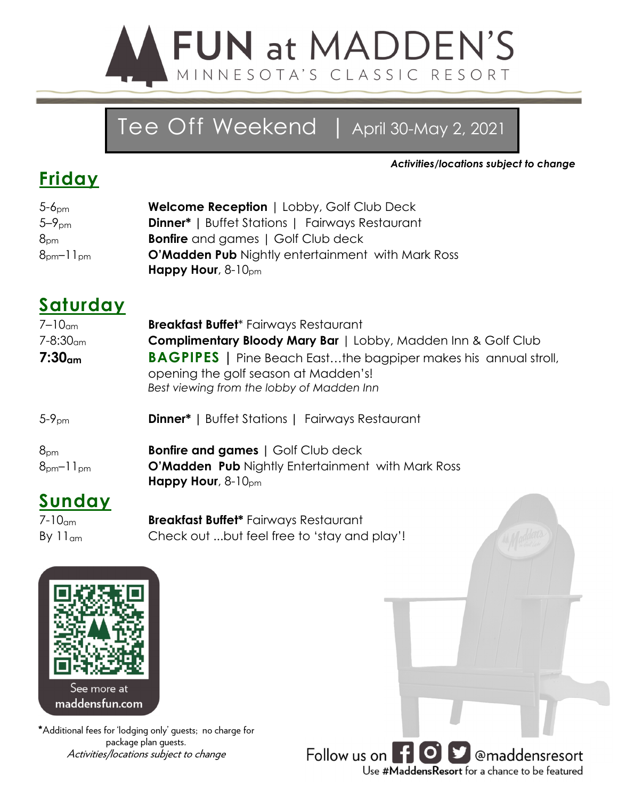

# Tee Off Weekend | April 30-May 2, 2021

*Activities/locations subject to change*

### **Friday**

| 5-6 <sub>pm</sub>                  | <b>Welcome Reception   Lobby, Golf Club Deck</b>         |
|------------------------------------|----------------------------------------------------------|
| 5–9 <sub>pm</sub>                  | <b>Dinner*</b>   Buffet Stations   Fairways Restaurant   |
| $8_{\text{\tiny{DM}}}$             | <b>Bonfire</b> and games   Golf Club deck                |
| $8_{\text{pm}}$ –11 $_{\text{pm}}$ | <b>O'Madden Pub</b> Nightly entertainment with Mark Ross |
|                                    | Happy Hour, $8-10_{\text{pm}}$                           |
|                                    |                                                          |

#### **Saturday**

| $7-10cm$                 | <b>Breakfast Buffet</b> * Fairways Restaurant                                                                                                               |
|--------------------------|-------------------------------------------------------------------------------------------------------------------------------------------------------------|
| $7 - 8:30$ <sub>am</sub> | <b>Complimentary Bloody Mary Bar</b>   Lobby, Madden Inn & Golf Club                                                                                        |
| 7:30 <sub>cm</sub>       | <b>BAGPIPES</b>   Pine Beach Eastthe bagpiper makes his annual stroll,<br>opening the golf season at Madden's!<br>Best viewing from the lobby of Madden Inn |
| $5-9pm$                  | <b>Dinner*</b>   Buffet Stations   Fairways Restaurant                                                                                                      |
| 8 <sub>pm</sub>          | <b>Bonfire and games</b>   Golf Club deck                                                                                                                   |
| $8pm-11pm$               | O'Madden Pub Nightly Entertainment with Mark Ross<br>Happy Hour, $8-10_{\text{pm}}$                                                                         |
| Sunday                   |                                                                                                                                                             |
| 7 1 0                    | Drach                                                                                                                                                       |

7-10am **Breakfast Buffet\*** Fairways Restaurant By 11<sub>am</sub> Check out ...but feel free to 'stay and play'!



\*Additional fees for 'lodging only' guests; no charge for package plan guests. Activities/locations subject to change

Follow us on **[4 0 | 9**] @maddensresort Use #MaddensResort for a chance to be featured